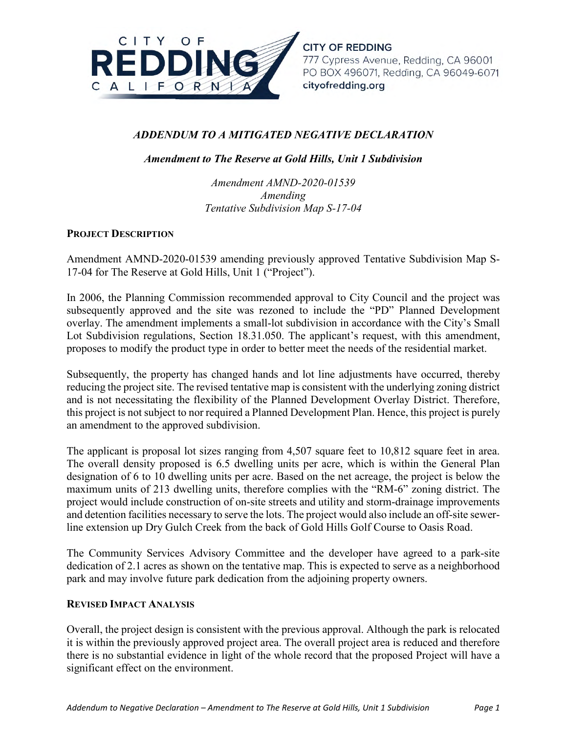

**CITY OF REDDING**  777 Cypress Avenue, Redding, CA 96001 PO BOX 496071, Redding, CA 96049-6071 **cityofredd ing .org** 

# *ADDENDUM TO A MITIGATED NEGATIVE DECLARATION*

*Amendment to The Reserve at Gold Hills, Unit 1 Subdivision*

*Amendment AMND-2020-01539 Amending Tentative Subdivision Map S-17-04* 

# **PROJECT DESCRIPTION**

Amendment AMND-2020-01539 amending previously approved Tentative Subdivision Map S-17-04 for The Reserve at Gold Hills, Unit 1 ("Project").

In 2006, the Planning Commission recommended approval to City Council and the project was subsequently approved and the site was rezoned to include the "PD" Planned Development overlay. The amendment implements a small-lot subdivision in accordance with the City's Small Lot Subdivision regulations, Section 18.31.050. The applicant's request, with this amendment, proposes to modify the product type in order to better meet the needs of the residential market.

Subsequently, the property has changed hands and lot line adjustments have occurred, thereby reducing the project site. The revised tentative map is consistent with the underlying zoning district and is not necessitating the flexibility of the Planned Development Overlay District. Therefore, this project is not subject to nor required a Planned Development Plan. Hence, this project is purely an amendment to the approved subdivision.

The applicant is proposal lot sizes ranging from 4,507 square feet to 10,812 square feet in area. The overall density proposed is 6.5 dwelling units per acre, which is within the General Plan designation of 6 to 10 dwelling units per acre. Based on the net acreage, the project is below the maximum units of 213 dwelling units, therefore complies with the "RM-6" zoning district. The project would include construction of on-site streets and utility and storm-drainage improvements and detention facilities necessary to serve the lots. The project would also include an off-site sewerline extension up Dry Gulch Creek from the back of Gold Hills Golf Course to Oasis Road.

The Community Services Advisory Committee and the developer have agreed to a park-site dedication of 2.1 acres as shown on the tentative map. This is expected to serve as a neighborhood park and may involve future park dedication from the adjoining property owners.

# **REVISED IMPACT ANALYSIS**

Overall, the project design is consistent with the previous approval. Although the park is relocated it is within the previously approved project area. The overall project area is reduced and therefore there is no substantial evidence in light of the whole record that the proposed Project will have a significant effect on the environment.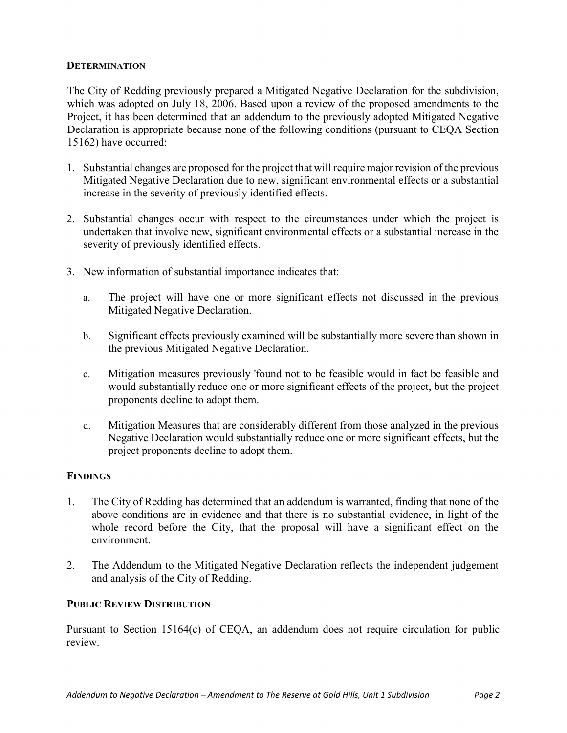# **DETERMINATION**

The City of Redding previously prepared a Mitigated Negative Declaration for the subdivision, which was adopted on July 18, 2006. Based upon a review of the proposed amendments to the Project, it has been determined that an addendum to the previously adopted Mitigated Negative Declaration is appropriate because none of the following conditions (pursuant to CEQA Section 15162) have occurred:

- 1. Substantial changes are proposed for the project that will require major revision of the previous Mitigated Negative Declaration due to new, significant environmental effects or a substantial increase in the severity of previously identified effects.
- 2. Substantial changes occur with respect to the circumstances under which the project is undertaken that involve new, significant environmental effects or a substantial increase in the severity of previously identified effects.
- 3. New information of substantial importance indicates that:
	- a. The project will have one or more significant effects not discussed in the previous Mitigated Negative Declaration.
	- b. Significant effects previously examined will be substantially more severe than shown in the previous Mitigated Negative Declaration.
	- c. Mitigation measures previously 'found not to be feasible would in fact be feasible and would substantially reduce one or more significant effects of the project, but the project proponents decline to adopt them.
	- d. Mitigation Measures that are considerably different from those analyzed in the previous Negative Declaration would substantially reduce one or more significant effects, but the project proponents decline to adopt them.

# **FINDINGS**

- 1. The City of Redding has determined that an addendum is warranted, finding that none of the above conditions are in evidence and that there is no substantial evidence, in light of the whole record before the City, that the proposal will have a significant effect on the environment.
- 2. The Addendum to the Mitigated Negative Declaration reflects the independent judgement and analysis of the City of Redding.

# **PUBLIC REVIEW DISTRIBUTION**

Pursuant to Section 15164(c) of CEQA, an addendum does not require circulation for public review.